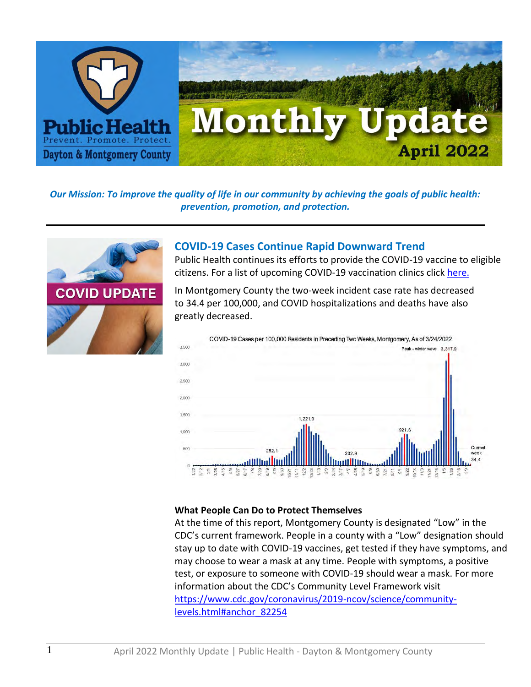

*Our Mission: To improve the quality of life in our community by achieving the goals of public health: prevention, promotion, and protection.*



### **COVID-19 Cases Continue Rapid Downward Trend**

Public Health continues its efforts to provide the COVID-19 vaccine to eligible citizens. For a list of upcoming COVID-19 vaccination clinics clic[k here.](https://www.phdmc.org/coronavirus-updates/439-covid-19-vaccination-information)

In Montgomery County the two-week incident case rate has decreased to 34.4 per 100,000, and COVID hospitalizations and deaths have also greatly decreased.



#### **What People Can Do to Protect Themselves**

At the time of this report, Montgomery County is designated "Low" in the CDC's current framework. People in a county with a "Low" designation should stay up to date with COVID-19 vaccines, get tested if they have symptoms, and may choose to wear a mask at any time. People with symptoms, a positive test, or exposure to someone with COVID-19 should wear a mask. For more information about the CDC's Community Level Framework visit [https://www.cdc.gov/coronavirus/2019-ncov/science/community](https://www.cdc.gov/coronavirus/2019-ncov/science/community-levels.html#anchor_82254)[levels.html#anchor\\_82254](https://www.cdc.gov/coronavirus/2019-ncov/science/community-levels.html#anchor_82254)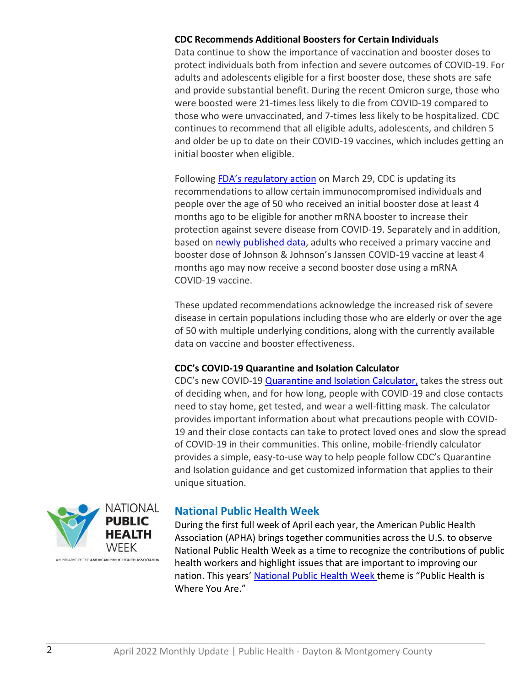#### **CDC Recommends Additional Boosters for Certain Individuals**

Data continue to show the importance of vaccination and booster doses to protect individuals both from infection and severe outcomes of COVID-19. For adults and adolescents eligible for a first booster dose, these shots are safe and provide substantial benefit. During the recent Omicron surge, those who were boosted were 21-times less likely to die from COVID-19 compared to those who were unvaccinated, and 7-times less likely to be hospitalized. CDC continues to recommend that all eligible adults, adolescents, and children 5 and older be up to date on their COVID-19 vaccines, which includes getting an initial booster when eligible.

Following [FDA's regulatory action](https://www.fda.gov/news-events/press-announcements/coronavirus-covid-19-update-fda-authorizes-second-booster-dose-two-covid-19-vaccines-older-and) on March 29, CDC is updating its recommendations to allow certain immunocompromised individuals and people over the age of 50 who received an initial booster dose at least 4 months ago to be eligible for another mRNA booster to increase their protection against severe disease from COVID-19. Separately and in addition, based on [newly published data,](https://www.cdc.gov/mmwr/volumes/71/wr/mm7113e2.htm?s_cid=mm7113e2_w) adults who received a primary vaccine and booster dose of Johnson & Johnson's Janssen COVID-19 vaccine at least 4 months ago may now receive a second booster dose using a mRNA COVID-19 vaccine.

These updated recommendations acknowledge the increased risk of severe disease in certain populations including those who are elderly or over the age of 50 with multiple underlying conditions, along with the currently available data on vaccine and booster effectiveness.

#### **CDC's COVID-19 Quarantine and Isolation Calculator**

CDC's new COVID-19 Quarantine and [Isolation Calculator,](https://nam10.safelinks.protection.outlook.com/?url=https%3A%2F%2Fwww.phdmc.org%2Fcoronavirus-updates%2F511-covid-19-isolation-and-quarantine-measures-are-still-in-place&data=04%7C01%7Cjsteele%40phdmc.org%7C41d2b626aaf243006d5608da11b871ae%7Cefedc9042baf4ad68c0ec0e87981f768%7C0%7C0%7C637841781117766506%7CUnknown%7CTWFpbGZsb3d8eyJWIjoiMC4wLjAwMDAiLCJQIjoiV2luMzIiLCJBTiI6Ik1haWwiLCJXVCI6Mn0%3D%7C3000&sdata=f%2FlRsfh2TOCQoo%2BNYvnsDHITLlQQWcnmPszD391Zr%2Fo%3D&reserved=0) takes the stress out of deciding when, and for how long, people with COVID-19 and close contacts need to stay home, get tested, and wear a well-fitting mask. The calculator provides important information about what precautions people with COVID-19 and their close contacts can take to protect loved ones and slow the spread of COVID-19 in their communities. This online, mobile-friendly calculator provides a simple, easy-to-use way to help people follow CDC's Quarantine and Isolation guidance and get customized information that applies to their unique situation.



## **National Public Health Week**

During the first full week of April each year, the American Public Health Association (APHA) brings together communities across the U.S. to observe National Public Health Week as a time to recognize the contributions of public health workers and highlight issues that are important to improving our nation. This years' [National Public Health Week](https://nam10.safelinks.protection.outlook.com/?url=https%3A%2F%2Fnphic.org%2Findex.php%3Foption%3Dcom_acym%26ctrl%3Dfronturl%26task%3Dclick%26urlid%3D563%26userid%3D1875%26mailid%3D1185&data=04%7C01%7Cjsteele%40phdmc.org%7C41d2b626aaf243006d5608da11b871ae%7Cefedc9042baf4ad68c0ec0e87981f768%7C0%7C0%7C637841781117766506%7CUnknown%7CTWFpbGZsb3d8eyJWIjoiMC4wLjAwMDAiLCJQIjoiV2luMzIiLCJBTiI6Ik1haWwiLCJXVCI6Mn0%3D%7C3000&sdata=ekvYrZsxadpKKVGveDpeUXYU4LeVy5e3RVR15UW5iQQ%3D&reserved=0) theme is "Public Health is Where You Are."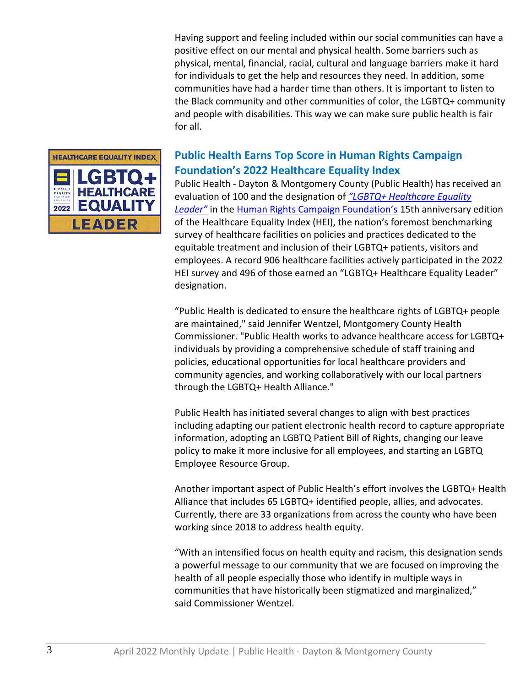Having support and feeling included within our social communities can have a positive effect on our mental and physical health. Some barriers such as physical, mental, financial, racial, cultural and language barriers make it hard for individuals to get the help and resources they need. In addition, some communities have had a harder time than others. It is important to listen to the Black community and other communities of color, the LGBTQ+ community and people with disabilities. This way we can make sure public health is fair for all.



## **Public Health Earns Top Score in Human Rights Campaign Foundation's 2022 Healthcare Equality Index**

Public Health - Dayton & Montgomery County (Public Health) has received an evaluation of 100 and the designation of *["LGBTQ+ Healthcare Equality](https://www.hrc.org/resources/healthcare-facilities/public-health---dayton-and-montgomery-county-2)*  **Leader**" in the [Human Rights Campaign Foundation's](https://www.hrc.org/resources/healthcare-equality-index) 15th anniversary edition of the Healthcare Equality Index (HEI), the nation's foremost benchmarking survey of healthcare facilities on policies and practices dedicated to the equitable treatment and inclusion of their LGBTQ+ patients, visitors and employees. A record 906 healthcare facilities actively participated in the 2022 HEI survey and 496 of those earned an "LGBTQ+ Healthcare Equality Leader" designation.

"Public Health is dedicated to ensure the healthcare rights of LGBTQ+ people are maintained," said Jennifer Wentzel, Montgomery County Health Commissioner. "Public Health works to advance healthcare access for LGBTQ+ individuals by providing a comprehensive schedule of staff training and policies, educational opportunities for local healthcare providers and community agencies, and working collaboratively with our local partners through the LGBTQ+ Health Alliance."

Public Health has initiated several changes to align with best practices including adapting our patient electronic health record to capture appropriate information, adopting an LGBTQ Patient Bill of Rights, changing our leave policy to make it more inclusive for all employees, and starting an LGBTQ Employee Resource Group.

Another important aspect of Public Health's effort involves the LGBTQ+ Health Alliance that includes 65 LGBTQ+ identified people, allies, and advocates. Currently, there are 33 organizations from across the county who have been working since 2018 to address health equity.

"With an intensified focus on health equity and racism, this designation sends a powerful message to our community that we are focused on improving the health of all people especially those who identify in multiple ways in communities that have historically been stigmatized and marginalized," said Commissioner Wentzel.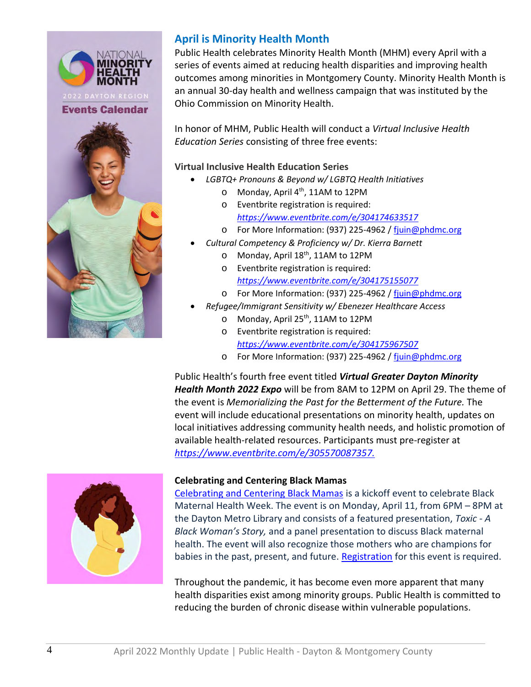

## **April is Minority Health Month**

Public Health celebrates Minority Health Month (MHM) every April with a series of events aimed at reducing health disparities and improving health outcomes among minorities in Montgomery County. Minority Health Month is an annual 30-day health and wellness campaign that was instituted by the Ohio Commission on Minority Health.

In honor of MHM, Public Health will conduct a *Virtual Inclusive Health Education Series* consisting of three free events:

#### **Virtual Inclusive Health Education Series**

- *LGBTQ+ Pronouns & Beyond w/ LGBTQ Health Initiatives*
	- o Monday, April 4<sup>th</sup>, 11AM to 12PM
	- o Eventbrite registration is required: *<https://www.eventbrite.com/e/304174633517>*
	- o For More Information: (937) 225-4962 / [fjuin@phdmc.org](mailto:fjuin@phdmc.org)
- *Cultural Competency & Proficiency w/ Dr. Kierra Barnett*
	- o Monday, April 18<sup>th</sup>, 11AM to 12PM
	- o Eventbrite registration is required: *<https://www.eventbrite.com/e/304175155077>*
	- o For More Information: (937) 225-4962 / fiuin@phdmc.org
- *Refugee/Immigrant Sensitivity w/ Ebenezer Healthcare Access*
	- $\circ$  Monday, April 25<sup>th</sup>, 11AM to 12PM
	- o Eventbrite registration is required:
		- *<https://www.eventbrite.com/e/304175967507>*
	- o For More Information: (937) 225-4962 / [fjuin@phdmc.org](mailto:fjuin@phdmc.org)

Public Health's fourth free event titled *Virtual Greater Dayton Minority Health Month 2022 Expo* will be from 8AM to 12PM on April 29. The theme of the event is *Memorializing the Past for the Betterment of the Future.* The event will include educational presentations on minority health, updates on local initiatives addressing community health needs, and holistic promotion of available health-related resources. Participants must pre-register at *[https://www.eventbrite.com/e/305570087357.](https://www.eventbrite.com/e/305570087357)*



#### **Celebrating and Centering Black Mamas**

[Celebrating and Centering Black Mamas](https://www.phdmc.org/events/icalrepeat.detail/2022/04/11/437/30%7C31%7C33%7C43/celebrating-and-centering-black-mamas) is a kickoff event to celebrate Black Maternal Health Week. The event is on Monday, April 11, from 6PM – 8PM at the Dayton Metro Library and consists of a featured presentation, *Toxic - A Black Woman's Story,* and a panel presentation to discuss Black maternal health. The event will also recognize those mothers who are champions for babies in the past, present, and future. [Registration](https://www.eventbrite.com/e/celebrating-and-centering-black-mamas-tickets-302649652257) for this event is required.

Throughout the pandemic, it has become even more apparent that many health disparities exist among minority groups. Public Health is committed to reducing the burden of chronic disease within vulnerable populations.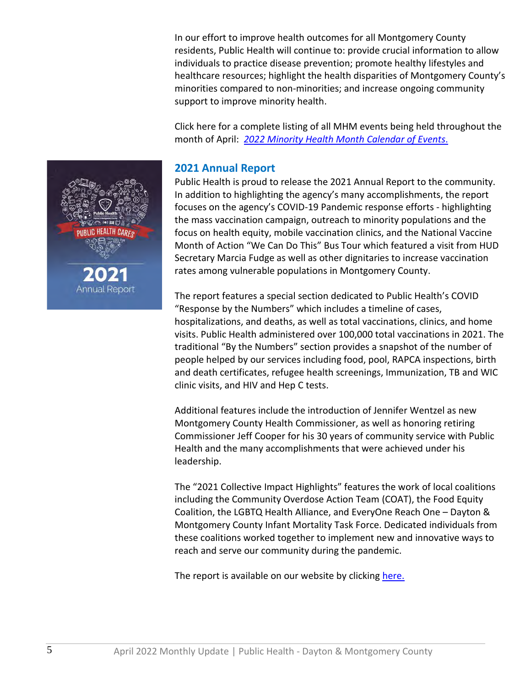In our effort to improve health outcomes for all Montgomery County residents, Public Health will continue to: provide crucial information to allow individuals to practice disease prevention; promote healthy lifestyles and healthcare resources; highlight the health disparities of Montgomery County's minorities compared to non-minorities; and increase ongoing community support to improve minority health.

Click here for a complete listing of all MHM events being held throughout the month of April: *2022 Minority Health Month [Calendar](https://www.phdmc.org/program-documents/healthy-lifestyles/dche/2514-minority-month-calendar-2022/file) of Events*.



#### **2021 Annual Report**

Public Health is proud to release the 2021 Annual Report to the community. In addition to highlighting the agency's many accomplishments, the report focuses on the agency's COVID-19 Pandemic response efforts - highlighting the mass vaccination campaign, outreach to minority populations and the focus on health equity, mobile vaccination clinics, and the National Vaccine Month of Action "We Can Do This" Bus Tour which featured a visit from HUD Secretary Marcia Fudge as well as other dignitaries to increase vaccination rates among vulnerable populations in Montgomery County.

The report features a special section dedicated to Public Health's COVID "Response by the Numbers" which includes a timeline of cases, hospitalizations, and deaths, as well as total vaccinations, clinics, and home visits. Public Health administered over 100,000 total vaccinations in 2021. The traditional "By the Numbers" section provides a snapshot of the number of people helped by our services including food, pool, RAPCA inspections, birth and death certificates, refugee health screenings, Immunization, TB and WIC clinic visits, and HIV and Hep C tests.

Additional features include the introduction of Jennifer Wentzel as new Montgomery County Health Commissioner, as well as honoring retiring Commissioner Jeff Cooper for his 30 years of community service with Public Health and the many accomplishments that were achieved under his leadership.

The "2021 Collective Impact Highlights" features the work of local coalitions including the Community Overdose Action Team (COAT), the Food Equity Coalition, the LGBTQ Health Alliance, and EveryOne Reach One – Dayton & Montgomery County Infant Mortality Task Force. Dedicated individuals from these coalitions worked together to implement new and innovative ways to reach and serve our community during the pandemic.

The report is available on our website by clicking [here.](https://www.phdmc.org/program-documents/healthy-lifestyles/gumc/health-data-and-reports/reports/annual-report/2499-2021-annual-report)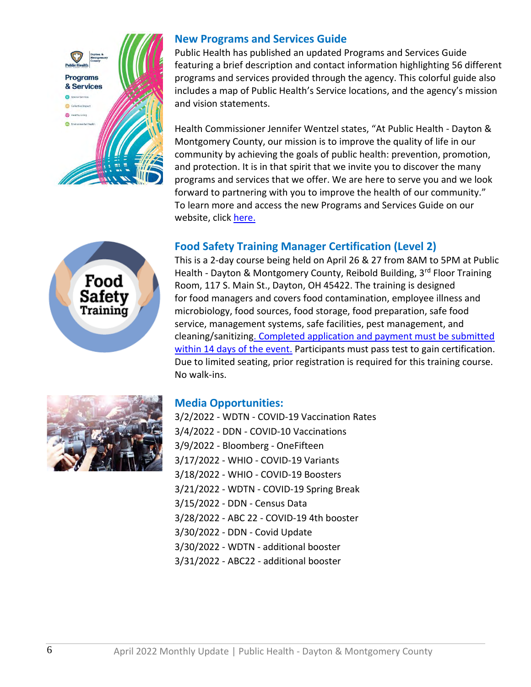



### **New Programs and Services Guide**

Public Health has published an updated Programs and Services Guide featuring a brief description and contact information highlighting 56 different programs and services provided through the agency. This colorful guide also includes a map of Public Health's Service locations, and the agency's mission and vision statements.

Health Commissioner Jennifer Wentzel states, "At Public Health - Dayton & Montgomery County, our mission is to improve the quality of life in our community by achieving the goals of public health: prevention, promotion, and protection. It is in that spirit that we invite you to discover the many programs and services that we offer. We are here to serve you and we look forward to partnering with you to improve the health of our community." To learn more and access the new Programs and Services Guide on our website, click [here.](https://www.phdmc.org/agency-publications/agency-reports/2498-programs-services-guide)

## **Food Safety Training Manager Certification (Level 2)**

This is a 2-day course being held on April 26 & 27 from 8AM to 5PM at Public Health - Dayton & Montgomery County, Reibold Building, 3rd Floor Training Room, 117 S. Main St., Dayton, OH 45422. The training is designed for food managers and covers food contamination, employee illness and microbiology, food sources, food storage, food preparation, safe food service, management systems, safe facilities, pest management, and cleaning/sanitizing. Completed application and payment must be submitted [within 14 days of the event.](https://www.phdmc.org/program-documents/food-protection/2274-food-safety-training-manager-certification-level-2/file) Participants must pass test to gain certification. Due to limited seating, prior registration is required for this training course. No walk-ins.



#### **Media Opportunities:**

3/2/2022 - WDTN - COVID-19 Vaccination Rates 3/4/2022 - DDN - COVID-10 Vaccinations 3/9/2022 - Bloomberg - OneFifteen 3/17/2022 - WHIO - COVID-19 Variants 3/18/2022 - WHIO - COVID-19 Boosters 3/21/2022 - WDTN - COVID-19 Spring Break 3/15/2022 - DDN - Census Data 3/28/2022 - ABC 22 - COVID-19 4th booster 3/30/2022 - DDN - Covid Update 3/30/2022 - WDTN - additional booster 3/31/2022 - ABC22 - additional booster